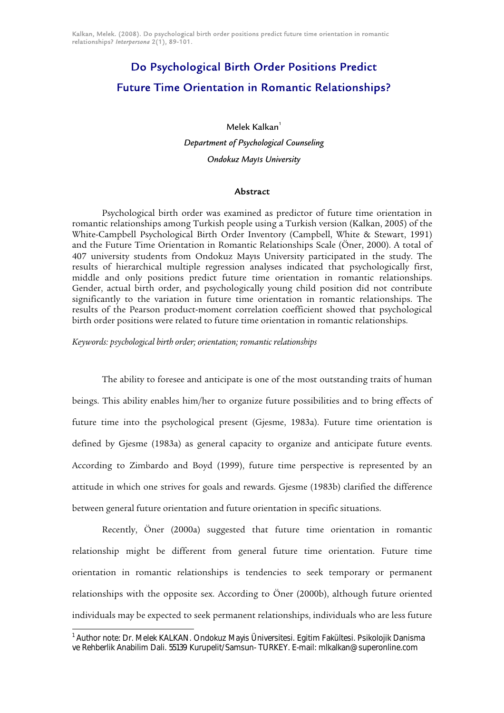# Do Psychological Birth Order Positions Predict Future Time Orientation in Romantic Relationships?

Melek Kalkan $<sup>1</sup>$ </sup> *Department of Psychological Counseling* 

# *Ondokuz Mayıs University*

## Abstract

Psychological birth order was examined as predictor of future time orientation in romantic relationships among Turkish people using a Turkish version (Kalkan, 2005) of the White-Campbell Psychological Birth Order Inventory (Campbell, White & Stewart, 1991) and the Future Time Orientation in Romantic Relationships Scale (Öner, 2000). A total of 407 university students from Ondokuz Mayıs University participated in the study. The results of hierarchical multiple regression analyses indicated that psychologically first, middle and only positions predict future time orientation in romantic relationships. Gender, actual birth order, and psychologically young child position did not contribute significantly to the variation in future time orientation in romantic relationships. The results of the Pearson product-moment correlation coefficient showed that psychological birth order positions were related to future time orientation in romantic relationships.

#### *Keywords: psychological birth order; orientation; romantic relationships*

 $\overline{a}$ 

The ability to foresee and anticipate is one of the most outstanding traits of human beings. This ability enables him/her to organize future possibilities and to bring effects of future time into the psychological present (Gjesme, 1983a). Future time orientation is defined by Gjesme (1983a) as general capacity to organize and anticipate future events. According to Zimbardo and Boyd (1999), future time perspective is represented by an attitude in which one strives for goals and rewards. Gjesme (1983b) clarified the difference between general future orientation and future orientation in specific situations.

Recently, Öner (2000a) suggested that future time orientation in romantic relationship might be different from general future time orientation. Future time orientation in romantic relationships is tendencies to seek temporary or permanent relationships with the opposite sex. According to Öner (2000b), although future oriented individuals may be expected to seek permanent relationships, individuals who are less future

<span id="page-0-0"></span><sup>&</sup>lt;sup>1</sup> Author note: Dr. Melek KALKAN. Ondokuz Mayis Üniversitesi. Egitim Fakültesi. Psikolojik Danisma ve Rehberlik Anabilim Dali. 55139 Kurupelit/Samsun- TURKEY. E-mail: mlkalkan@superonline.com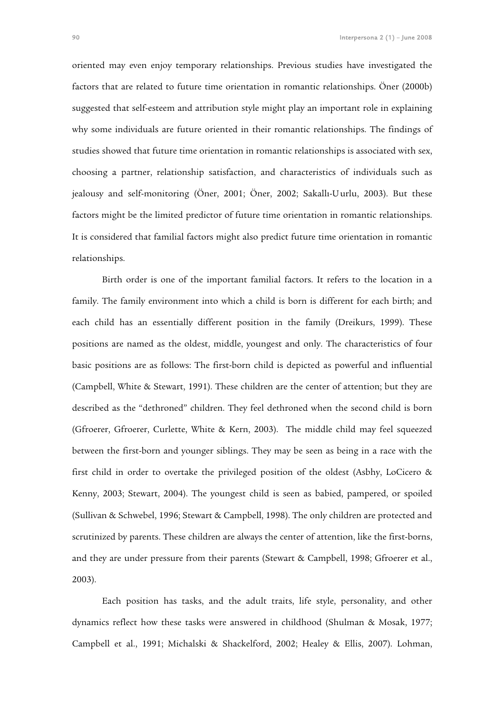oriented may even enjoy temporary relationships. Previous studies have investigated the factors that are related to future time orientation in romantic relationships. Öner (2000b) suggested that self-esteem and attribution style might play an important role in explaining why some individuals are future oriented in their romantic relationships. The findings of studies showed that future time orientation in romantic relationships is associated with sex, choosing a partner, relationship satisfaction, and characteristics of individuals such as jealousy and self-monitoring (Öner, 2001; Öner, 2002; Sakallı-Uurlu, 2003). But these factors might be the limited predictor of future time orientation in romantic relationships. It is considered that familial factors might also predict future time orientation in romantic relationships.

Birth order is one of the important familial factors. It refers to the location in a family. The family environment into which a child is born is different for each birth; and each child has an essentially different position in the family (Dreikurs, 1999). These positions are named as the oldest, middle, youngest and only. The characteristics of four basic positions are as follows: The first-born child is depicted as powerful and influential (Campbell, White & Stewart, 1991). These children are the center of attention; but they are described as the "dethroned" children. They feel dethroned when the second child is born (Gfroerer, Gfroerer, Curlette, White & Kern, 2003). The middle child may feel squeezed between the first-born and younger siblings. They may be seen as being in a race with the first child in order to overtake the privileged position of the oldest (Asbhy, LoCicero & Kenny, 2003; Stewart, 2004). The youngest child is seen as babied, pampered, or spoiled (Sullivan & Schwebel, 1996; Stewart & Campbell, 1998). The only children are protected and scrutinized by parents. These children are always the center of attention, like the first-borns, and they are under pressure from their parents (Stewart & Campbell, 1998; Gfroerer et al., 2003).

Each position has tasks, and the adult traits, life style, personality, and other dynamics reflect how these tasks were answered in childhood (Shulman & Mosak, 1977; Campbell et al., 1991; Michalski & Shackelford, 2002; Healey & Ellis, 2007). Lohman,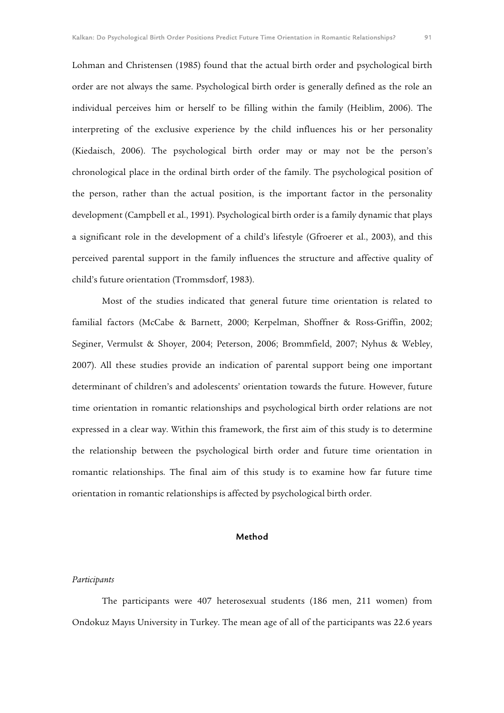Lohman and Christensen (1985) found that the actual birth order and psychological birth order are not always the same. Psychological birth order is generally defined as the role an individual perceives him or herself to be filling within the family (Heiblim, 2006). The interpreting of the exclusive experience by the child influences his or her personality (Kiedaisch, 2006). The psychological birth order may or may not be the person's chronological place in the ordinal birth order of the family. The psychological position of the person, rather than the actual position, is the important factor in the personality development (Campbell et al., 1991). Psychological birth order is a family dynamic that plays a significant role in the development of a child's lifestyle (Gfroerer et al., 2003), and this perceived parental support in the family influences the structure and affective quality of child's future orientation (Trommsdorf, 1983).

Most of the studies indicated that general future time orientation is related to familial factors (McCabe & Barnett, 2000; Kerpelman, Shoffner & Ross-Griffin, 2002; Seginer, Vermulst & Shoyer, 2004; Peterson, 2006; Brommfield, 2007; Nyhus & Webley, 2007). All these studies provide an indication of parental support being one important determinant of children's and adolescents' orientation towards the future. However, future time orientation in romantic relationships and psychological birth order relations are not expressed in a clear way. Within this framework, the first aim of this study is to determine the relationship between the psychological birth order and future time orientation in romantic relationships. The final aim of this study is to examine how far future time orientation in romantic relationships is affected by psychological birth order.

## Method

### *Participants*

The participants were 407 heterosexual students (186 men, 211 women) from Ondokuz Mayıs University in Turkey. The mean age of all of the participants was 22.6 years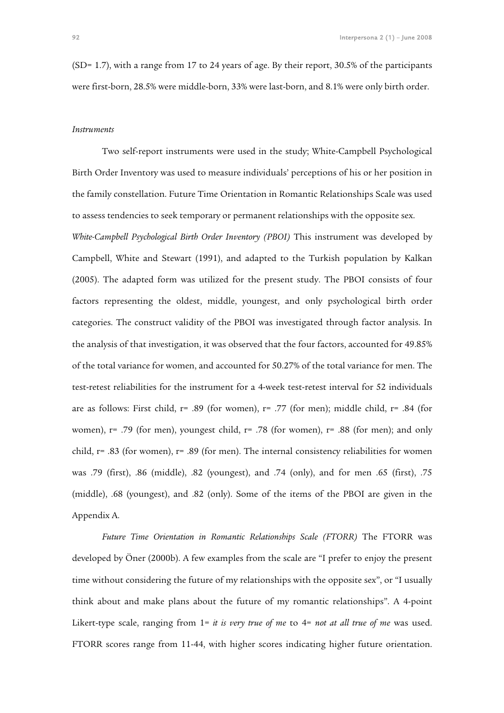(SD= 1.7), with a range from 17 to 24 years of age. By their report, 30.5% of the participants were first-born, 28.5% were middle-born, 33% were last-born, and 8.1% were only birth order.

#### *Instruments*

Two self-report instruments were used in the study; White-Campbell Psychological Birth Order Inventory was used to measure individuals' perceptions of his or her position in the family constellation. Future Time Orientation in Romantic Relationships Scale was used to assess tendencies to seek temporary or permanent relationships with the opposite sex.

*White-Campbell Psychological Birth Order Inventory (PBOI)* This instrument was developed by Campbell, White and Stewart (1991), and adapted to the Turkish population by Kalkan (2005). The adapted form was utilized for the present study. The PBOI consists of four factors representing the oldest, middle, youngest, and only psychological birth order categories. The construct validity of the PBOI was investigated through factor analysis. In the analysis of that investigation, it was observed that the four factors, accounted for 49.85% of the total variance for women, and accounted for 50.27% of the total variance for men. The test-retest reliabilities for the instrument for a 4-week test-retest interval for 52 individuals are as follows: First child,  $r = .89$  (for women),  $r = .77$  (for men); middle child,  $r = .84$  (for women), r= .79 (for men), youngest child, r= .78 (for women), r= .88 (for men); and only child, r= .83 (for women), r= .89 (for men). The internal consistency reliabilities for women was .79 (first), .86 (middle), .82 (youngest), and .74 (only), and for men .65 (first), .75 (middle), .68 (youngest), and .82 (only). Some of the items of the PBOI are given in the Appendix A.

*Future Time Orientation in Romantic Relationships Scale (FTORR)* The FTORR was developed by Öner (2000b). A few examples from the scale are "I prefer to enjoy the present time without considering the future of my relationships with the opposite sex", or "I usually think about and make plans about the future of my romantic relationships". A 4-point Likert-type scale, ranging from 1= *it is very true of me* to 4= *not at all true of me* was used. FTORR scores range from 11-44, with higher scores indicating higher future orientation.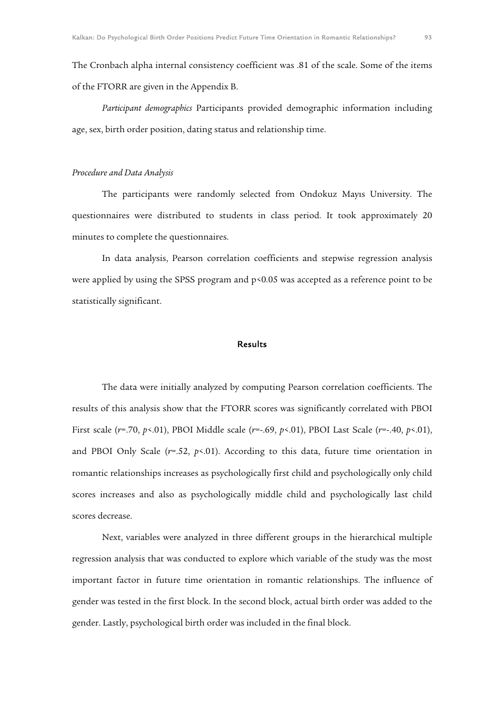The Cronbach alpha internal consistency coefficient was .81 of the scale. Some of the items of the FTORR are given in the Appendix B.

*Participant demographics* Participants provided demographic information including age, sex, birth order position, dating status and relationship time.

## *Procedure and Data Analysis*

The participants were randomly selected from Ondokuz Mayıs University. The questionnaires were distributed to students in class period. It took approximately 20 minutes to complete the questionnaires.

In data analysis, Pearson correlation coefficients and stepwise regression analysis were applied by using the SPSS program and  $p<0.05$  was accepted as a reference point to be statistically significant.

## **Results**

The data were initially analyzed by computing Pearson correlation coefficients. The results of this analysis show that the FTORR scores was significantly correlated with PBOI First scale (*r*=.70, *p*<.01), PBOI Middle scale (*r*=-.69, *p*<.01), PBOI Last Scale (*r*=-.40, *p*<.01), and PBOI Only Scale (*r*=.52, *p*<.01). According to this data, future time orientation in romantic relationships increases as psychologically first child and psychologically only child scores increases and also as psychologically middle child and psychologically last child scores decrease.

Next, variables were analyzed in three different groups in the hierarchical multiple regression analysis that was conducted to explore which variable of the study was the most important factor in future time orientation in romantic relationships. The influence of gender was tested in the first block. In the second block, actual birth order was added to the gender. Lastly, psychological birth order was included in the final block.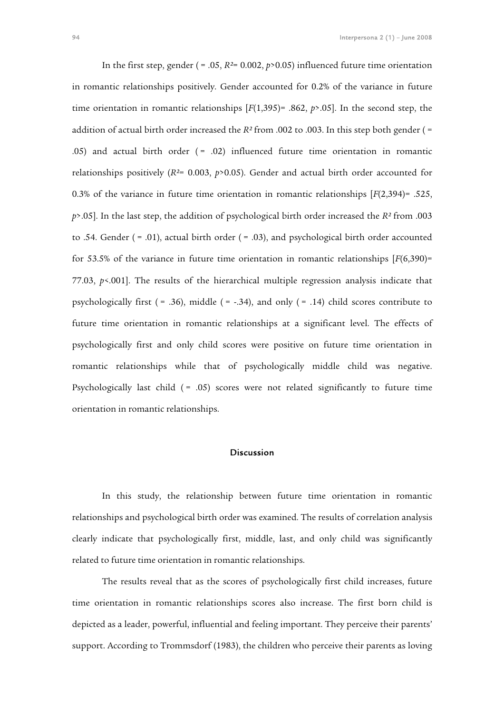In the first step, gender ( = .05, *R²*= 0.002, *p*>0.05) influenced future time orientation in romantic relationships positively. Gender accounted for 0.2% of the variance in future time orientation in romantic relationships [*F*(1,395)= .862, *p*>.05]. In the second step, the addition of actual birth order increased the *R²* from .002 to .003. In this step both gender ( = .05) and actual birth order  $( = .02)$  influenced future time orientation in romantic relationships positively (*R²*= 0.003, *p*>0.05). Gender and actual birth order accounted for 0.3% of the variance in future time orientation in romantic relationships [*F*(2,394)= .525, *p*>.05]. In the last step, the addition of psychological birth order increased the *R²* from .003 to .54. Gender  $( = .01)$ , actual birth order  $( = .03)$ , and psychological birth order accounted for 53.5% of the variance in future time orientation in romantic relationships [*F*(6,390)= 77.03, *p*<.001]. The results of the hierarchical multiple regression analysis indicate that psychologically first ( $= .36$ ), middle ( $= -.34$ ), and only ( $= .14$ ) child scores contribute to future time orientation in romantic relationships at a significant level. The effects of psychologically first and only child scores were positive on future time orientation in romantic relationships while that of psychologically middle child was negative. Psychologically last child  $( = .05)$  scores were not related significantly to future time orientation in romantic relationships.

## Discussion

In this study, the relationship between future time orientation in romantic relationships and psychological birth order was examined. The results of correlation analysis clearly indicate that psychologically first, middle, last, and only child was significantly related to future time orientation in romantic relationships.

The results reveal that as the scores of psychologically first child increases, future time orientation in romantic relationships scores also increase. The first born child is depicted as a leader, powerful, influential and feeling important. They perceive their parents' support. According to Trommsdorf (1983), the children who perceive their parents as loving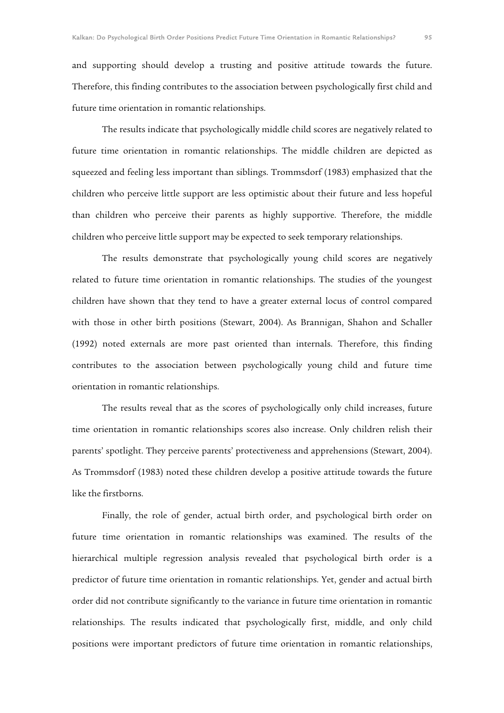and supporting should develop a trusting and positive attitude towards the future. Therefore, this finding contributes to the association between psychologically first child and future time orientation in romantic relationships.

The results indicate that psychologically middle child scores are negatively related to future time orientation in romantic relationships. The middle children are depicted as squeezed and feeling less important than siblings. Trommsdorf (1983) emphasized that the children who perceive little support are less optimistic about their future and less hopeful than children who perceive their parents as highly supportive. Therefore, the middle children who perceive little support may be expected to seek temporary relationships.

The results demonstrate that psychologically young child scores are negatively related to future time orientation in romantic relationships. The studies of the youngest children have shown that they tend to have a greater external locus of control compared with those in other birth positions (Stewart, 2004). As Brannigan, Shahon and Schaller (1992) noted externals are more past oriented than internals. Therefore, this finding contributes to the association between psychologically young child and future time orientation in romantic relationships.

The results reveal that as the scores of psychologically only child increases, future time orientation in romantic relationships scores also increase. Only children relish their parents' spotlight. They perceive parents' protectiveness and apprehensions (Stewart, 2004). As Trommsdorf (1983) noted these children develop a positive attitude towards the future like the firstborns.

Finally, the role of gender, actual birth order, and psychological birth order on future time orientation in romantic relationships was examined. The results of the hierarchical multiple regression analysis revealed that psychological birth order is a predictor of future time orientation in romantic relationships. Yet, gender and actual birth order did not contribute significantly to the variance in future time orientation in romantic relationships. The results indicated that psychologically first, middle, and only child positions were important predictors of future time orientation in romantic relationships,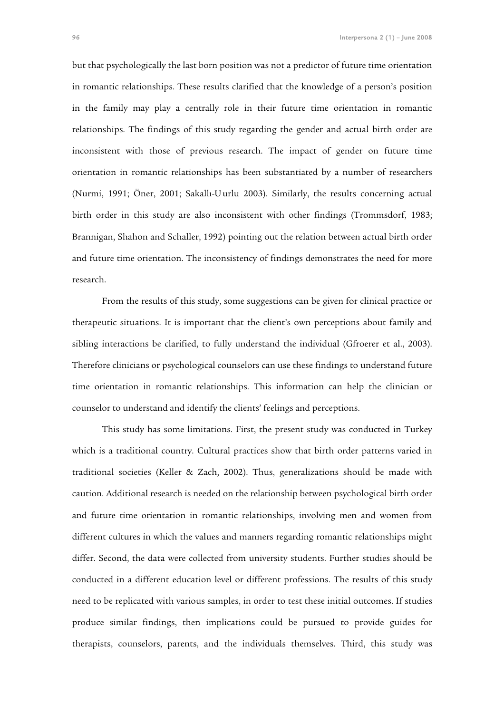but that psychologically the last born position was not a predictor of future time orientation in romantic relationships. These results clarified that the knowledge of a person's position in the family may play a centrally role in their future time orientation in romantic relationships. The findings of this study regarding the gender and actual birth order are inconsistent with those of previous research. The impact of gender on future time orientation in romantic relationships has been substantiated by a number of researchers (Nurmi, 1991; Öner, 2001; Sakallı-Uurlu 2003). Similarly, the results concerning actual birth order in this study are also inconsistent with other findings (Trommsdorf, 1983; Brannigan, Shahon and Schaller, 1992) pointing out the relation between actual birth order and future time orientation. The inconsistency of findings demonstrates the need for more research.

From the results of this study, some suggestions can be given for clinical practice or therapeutic situations. It is important that the client's own perceptions about family and sibling interactions be clarified, to fully understand the individual (Gfroerer et al., 2003). Therefore clinicians or psychological counselors can use these findings to understand future time orientation in romantic relationships. This information can help the clinician or counselor to understand and identify the clients' feelings and perceptions.

This study has some limitations. First, the present study was conducted in Turkey which is a traditional country. Cultural practices show that birth order patterns varied in traditional societies (Keller & Zach, 2002). Thus, generalizations should be made with caution. Additional research is needed on the relationship between psychological birth order and future time orientation in romantic relationships, involving men and women from different cultures in which the values and manners regarding romantic relationships might differ. Second, the data were collected from university students. Further studies should be conducted in a different education level or different professions. The results of this study need to be replicated with various samples, in order to test these initial outcomes. If studies produce similar findings, then implications could be pursued to provide guides for therapists, counselors, parents, and the individuals themselves. Third, this study was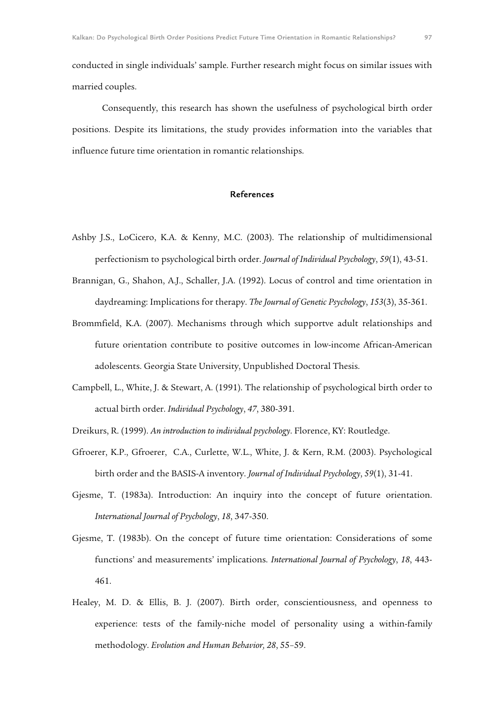conducted in single individuals' sample. Further research might focus on similar issues with married couples.

Consequently, this research has shown the usefulness of psychological birth order positions. Despite its limitations, the study provides information into the variables that influence future time orientation in romantic relationships.

### References

- Ashby J.S., LoCicero, K.A. & Kenny, M.C. (2003). The relationship of multidimensional perfectionism to psychological birth order. *Journal of Individual Psychology*, *59*(1), 43-51.
- Brannigan, G., Shahon, A.J., Schaller, J.A. (1992). Locus of control and time orientation in daydreaming: Implications for therapy. *The Journal of Genetic Psychology*, *153*(3), 35-361.
- Brommfield, K.A. (2007). Mechanisms through which supportve adult relationships and future orientation contribute to positive outcomes in low-income African-American adolescents. Georgia State University, Unpublished Doctoral Thesis.
- Campbell, L., White, J. & Stewart, A. (1991). The relationship of psychological birth order to actual birth order. *Individual Psychology*, *47*, 380-391.
- Dreikurs, R. (1999). *An introduction to individual psychology*. Florence, KY: Routledge.
- Gfroerer, K.P., Gfroerer, C.A., Curlette, W.L., White, J. & Kern, R.M. (2003). Psychological birth order and the BASIS-A inventory. *Journal of Individual Psychology*, *59*(1), 31-41.
- Gjesme, T. (1983a). Introduction: An inquiry into the concept of future orientation. *International Journal of Psychology*, *18*, 347-350.
- Gjesme, T. (1983b). On the concept of future time orientation: Considerations of some functions' and measurements' implications. *International Journal of Psychology*, *18*, 443- 461.
- Healey, M. D. & Ellis, B. J. (2007). Birth order, conscientiousness, and openness to experience: tests of the family-niche model of personality using a within-family methodology. *Evolution and Human Behavior, 28*, 55–59.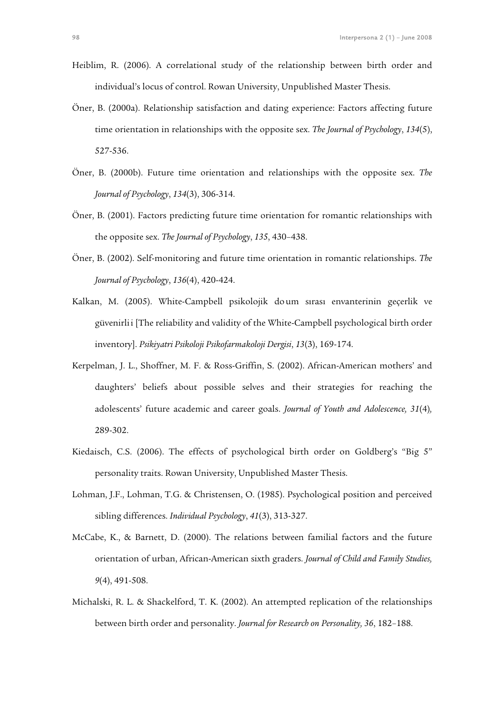- Heiblim, R. (2006). A correlational study of the relationship between birth order and individual's locus of control. Rowan University, Unpublished Master Thesis.
- Öner, B. (2000a). Relationship satisfaction and dating experience: Factors affecting future time orientation in relationships with the opposite sex. *The Journal of Psychology*, *134*(5), 527-536.
- Öner, B. (2000b). Future time orientation and relationships with the opposite sex. *The Journal of Psychology*, *134*(3), 306-314.
- Öner, B. (2001). Factors predicting future time orientation for romantic relationships with the opposite sex. *The Journal of Psychology*, *135*, 430–438.
- Öner, B. (2002). Self-monitoring and future time orientation in romantic relationships. *The Journal of Psychology*, *136*(4), 420-424.
- Kalkan, M. (2005). White-Campbell psikolojik doum sırası envanterinin geçerlik ve güvenirlii [The reliability and validity of the White-Campbell psychological birth order inventory]. *Psikiyatri Psikoloji Psikofarmakoloji Dergisi*, *13*(3), 169-174.
- Kerpelman, J. L., Shoffner, M. F. & Ross-Griffin, S. (2002). African-American mothers' and daughters' beliefs about possible selves and their strategies for reaching the adolescents' future academic and career goals. *Journal of Youth and Adolescence, 31*(4)*,*  289-302.
- Kiedaisch, C.S. (2006). The effects of psychological birth order on Goldberg's "Big 5" personality traits. Rowan University, Unpublished Master Thesis.
- Lohman, J.F., Lohman, T.G. & Christensen, O. (1985). Psychological position and perceived sibling differences. *Individual Psychology*, *41*(3), 313-327.
- McCabe, K., & Barnett, D. (2000). The relations between familial factors and the future orientation of urban, African-American sixth graders. *Journal of Child and Family Studies, 9*(4), 491-508.
- Michalski, R. L. & Shackelford, T. K. (2002). An attempted replication of the relationships between birth order and personality. *Journal for Research on Personality, 36*, 182–188.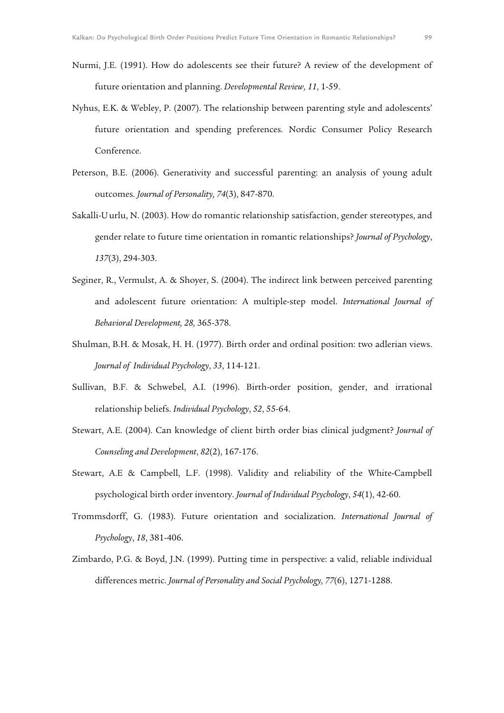- Nurmi, J.E. (1991). How do adolescents see their future? A review of the development of future orientation and planning. *Developmental Review, 11*, 1-59.
- Nyhus, E.K. & Webley, P. (2007). The relationship between parenting style and adolescents' future orientation and spending preferences. Nordic Consumer Policy Research Conference.
- Peterson, B.E. (2006). Generativity and successful parenting: an analysis of young adult outcomes. *Journal of Personality, 74*(3), 847-870.
- Sakalli-Uurlu, N. (2003). How do romantic relationship satisfaction, gender stereotypes, and gender relate to future time orientation in romantic relationships? *Journal of Psychology*, *137*(3), 294-303.
- Seginer, R., Vermulst, A. & Shoyer, S. (2004). The indirect link between perceived parenting and adolescent future orientation: A multiple-step model. *International Journal of Behavioral Development, 28,* 365-378.
- Shulman, B.H. & Mosak, H. H. (1977). Birth order and ordinal position: two adlerian views. *Journal of Individual Psychology*, *33*, 114-121.
- Sullivan, B.F. & Schwebel, A.I. (1996). Birth-order position, gender, and irrational relationship beliefs. *Individual Psychology*, *52*, 55-64.
- Stewart, A.E. (2004). Can knowledge of client birth order bias clinical judgment? *Journal of Counseling and Development*, *82*(2), 167-176.
- Stewart, A.E & Campbell, L.F. (1998). Validity and reliability of the White-Campbell psychological birth order inventory. *Journal of Individual Psychology*, *54*(1), 42-60.
- Trommsdorff, G. (1983). Future orientation and socialization. *International Journal of Psychology*, *18*, 381-406.
- Zimbardo, P.G. & Boyd, J.N. (1999). Putting time in perspective: a valid, reliable individual differences metric. *Journal of Personality and Social Psychology, 77*(6), 1271-1288.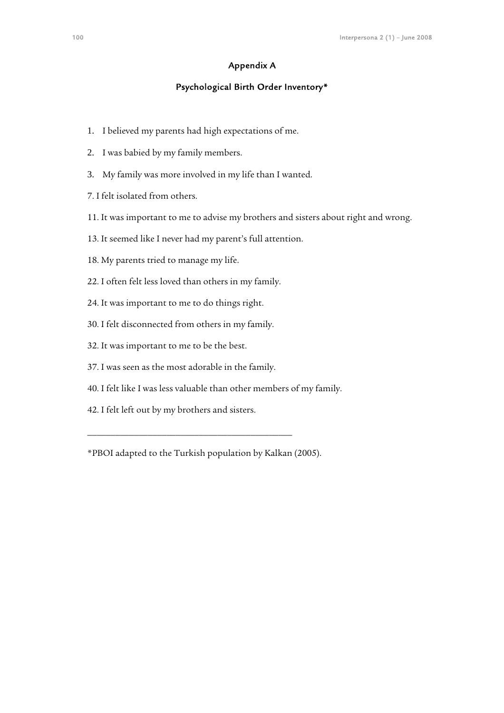# Appendix A

## Psychological Birth Order Inventory\*

- 1. I believed my parents had high expectations of me.
- 2. I was babied by my family members.
- 3. My family was more involved in my life than I wanted.
- 7. I felt isolated from others.
- 11. It was important to me to advise my brothers and sisters about right and wrong.
- 13. It seemed like I never had my parent's full attention.
- 18. My parents tried to manage my life.
- 22. I often felt less loved than others in my family.
- 24. It was important to me to do things right.
- 30. I felt disconnected from others in my family.
- 32. It was important to me to be the best.
- 37. I was seen as the most adorable in the family.
- 40. I felt like I was less valuable than other members of my family.
- 42. I felt left out by my brothers and sisters.

\_\_\_\_\_\_\_\_\_\_\_\_\_\_\_\_\_\_\_\_\_\_\_\_\_\_\_\_\_\_\_\_\_\_\_\_\_\_\_\_\_\_\_\_

<sup>\*</sup>PBOI adapted to the Turkish population by Kalkan (2005).